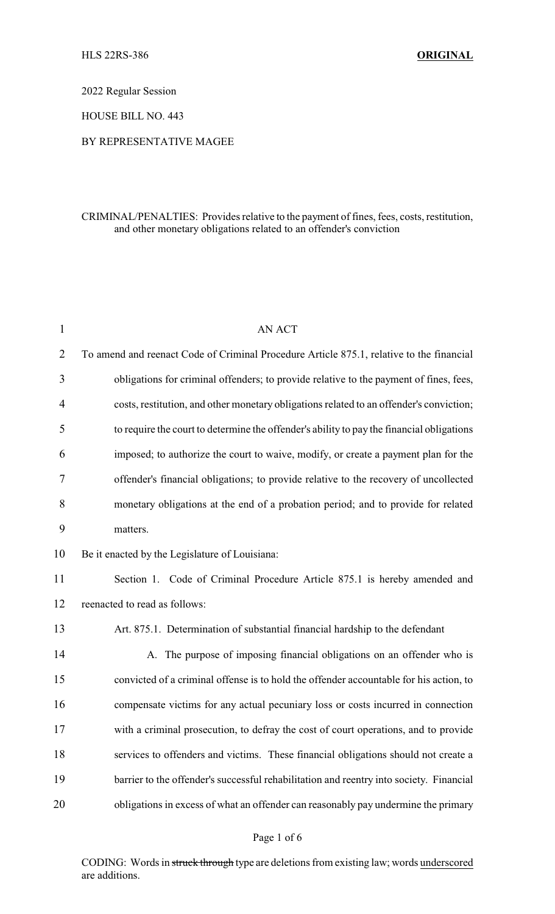2022 Regular Session

HOUSE BILL NO. 443

### BY REPRESENTATIVE MAGEE

## CRIMINAL/PENALTIES: Provides relative to the payment of fines, fees, costs, restitution, and other monetary obligations related to an offender's conviction

| $\mathbf{1}$   | <b>AN ACT</b>                                                                             |
|----------------|-------------------------------------------------------------------------------------------|
| $\overline{2}$ | To amend and reenact Code of Criminal Procedure Article 875.1, relative to the financial  |
| 3              | obligations for criminal offenders; to provide relative to the payment of fines, fees,    |
| 4              | costs, restitution, and other monetary obligations related to an offender's conviction;   |
| 5              | to require the court to determine the offender's ability to pay the financial obligations |
| 6              | imposed; to authorize the court to waive, modify, or create a payment plan for the        |
| 7              | offender's financial obligations; to provide relative to the recovery of uncollected      |
| 8              | monetary obligations at the end of a probation period; and to provide for related         |
| 9              | matters.                                                                                  |
| 10             | Be it enacted by the Legislature of Louisiana:                                            |
| 11             | Section 1. Code of Criminal Procedure Article 875.1 is hereby amended and                 |
| 12             | reenacted to read as follows:                                                             |
| 13             | Art. 875.1. Determination of substantial financial hardship to the defendant              |
| 14             | A. The purpose of imposing financial obligations on an offender who is                    |
| 15             | convicted of a criminal offense is to hold the offender accountable for his action, to    |
| 16             | compensate victims for any actual pecuniary loss or costs incurred in connection          |
| 17             | with a criminal prosecution, to defray the cost of court operations, and to provide       |
| 18             | services to offenders and victims. These financial obligations should not create a        |
| 19             | barrier to the offender's successful rehabilitation and reentry into society. Financial   |
| 20             | obligations in excess of what an offender can reasonably pay undermine the primary        |
|                |                                                                                           |

### Page 1 of 6

CODING: Words in struck through type are deletions from existing law; words underscored are additions.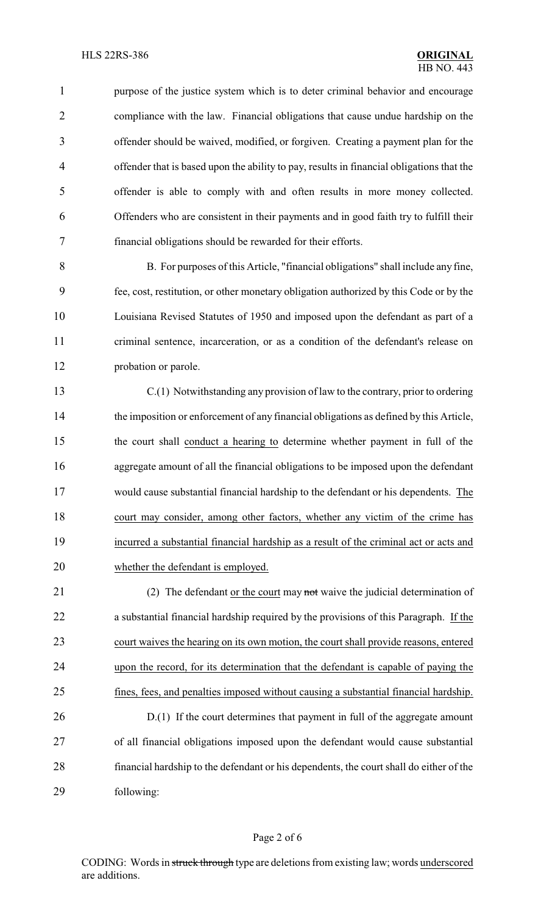1 purpose of the justice system which is to deter criminal behavior and encourage compliance with the law. Financial obligations that cause undue hardship on the offender should be waived, modified, or forgiven. Creating a payment plan for the offender that is based upon the ability to pay, results in financial obligations that the offender is able to comply with and often results in more money collected. Offenders who are consistent in their payments and in good faith try to fulfill their financial obligations should be rewarded for their efforts.

 B. For purposes of this Article, "financial obligations" shall include any fine, fee, cost, restitution, or other monetary obligation authorized by this Code or by the Louisiana Revised Statutes of 1950 and imposed upon the defendant as part of a criminal sentence, incarceration, or as a condition of the defendant's release on probation or parole.

 C.(1) Notwithstanding any provision of law to the contrary, prior to ordering the imposition or enforcement of any financial obligations as defined by this Article, the court shall conduct a hearing to determine whether payment in full of the aggregate amount of all the financial obligations to be imposed upon the defendant would cause substantial financial hardship to the defendant or his dependents. The court may consider, among other factors, whether any victim of the crime has incurred a substantial financial hardship as a result of the criminal act or acts and whether the defendant is employed.

21 (2) The defendant <u>or the court</u> may not waive the judicial determination of a substantial financial hardship required by the provisions of this Paragraph. If the court waives the hearing on its own motion, the court shall provide reasons, entered upon the record, for its determination that the defendant is capable of paying the fines, fees, and penalties imposed without causing a substantial financial hardship. 26 D.(1) If the court determines that payment in full of the aggregate amount of all financial obligations imposed upon the defendant would cause substantial

 financial hardship to the defendant or his dependents, the court shall do either of the following:

### Page 2 of 6

CODING: Words in struck through type are deletions from existing law; words underscored are additions.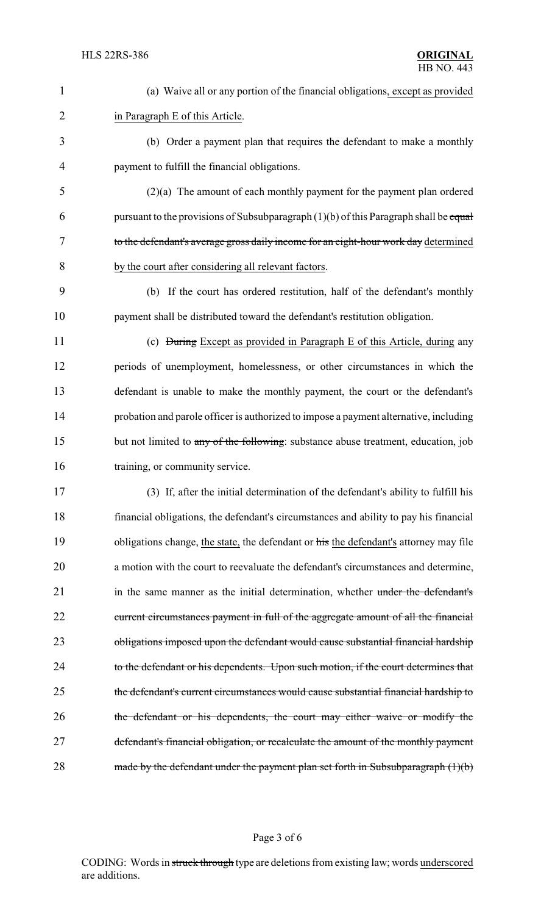| $\mathbf{1}$   | (a) Waive all or any portion of the financial obligations, except as provided           |
|----------------|-----------------------------------------------------------------------------------------|
| $\overline{2}$ | in Paragraph E of this Article.                                                         |
| 3              | (b) Order a payment plan that requires the defendant to make a monthly                  |
| $\overline{4}$ | payment to fulfill the financial obligations.                                           |
| 5              | $(2)(a)$ The amount of each monthly payment for the payment plan ordered                |
| 6              | pursuant to the provisions of Subsubparagraph $(1)(b)$ of this Paragraph shall be equal |
| 7              | to the defendant's average gross daily income for an eight-hour work day determined     |
| 8              | by the court after considering all relevant factors.                                    |
| 9              | (b) If the court has ordered restitution, half of the defendant's monthly               |
| 10             | payment shall be distributed toward the defendant's restitution obligation.             |
| 11             | (c) <del>During</del> Except as provided in Paragraph E of this Article, during any     |
| 12             | periods of unemployment, homelessness, or other circumstances in which the              |
| 13             | defendant is unable to make the monthly payment, the court or the defendant's           |
| 14             | probation and parole officer is authorized to impose a payment alternative, including   |
| 15             | but not limited to any of the following: substance abuse treatment, education, job      |
| 16             | training, or community service.                                                         |
| 17             | (3) If, after the initial determination of the defendant's ability to fulfill his       |
| 18             | financial obligations, the defendant's circumstances and ability to pay his financial   |
| 19             | obligations change, the state, the defendant or his the defendant's attorney may file   |
| 20             | a motion with the court to reevaluate the defendant's circumstances and determine,      |
| 21             | in the same manner as the initial determination, whether under the defendant's          |
| 22             | current circumstances payment in full of the aggregate amount of all the financial      |
| 23             | obligations imposed upon the defendant would cause substantial financial hardship       |
| 24             | to the defendant or his dependents. Upon such motion, if the court determines that      |
| 25             | the defendant's current circumstances would cause substantial financial hardship to     |
| 26             | the defendant or his dependents, the court may either waive or modify the               |
| 27             | defendant's financial obligation, or recalculate the amount of the monthly payment      |
| 28             | made by the defendant under the payment plan set forth in Subsubparagraph $(1)(b)$      |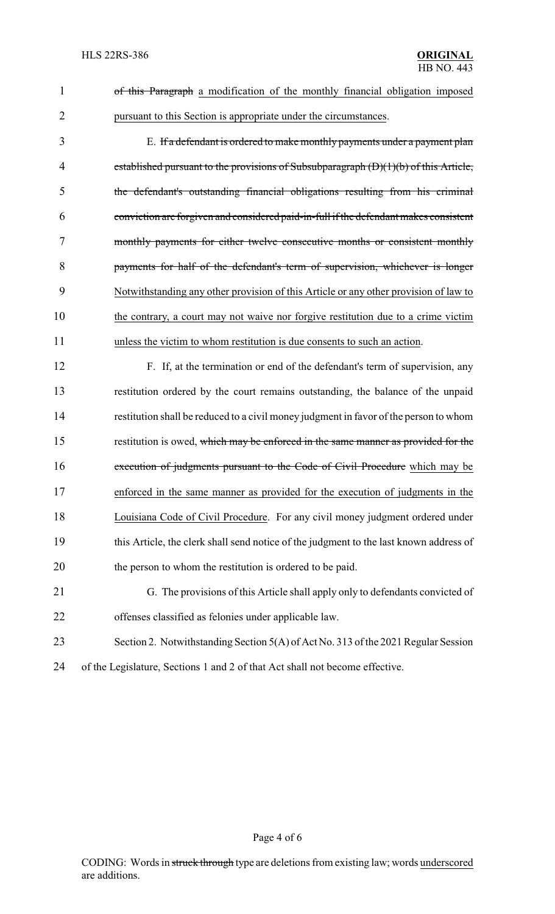| $\mathbf{1}$   | of this Paragraph a modification of the monthly financial obligation imposed           |
|----------------|----------------------------------------------------------------------------------------|
| $\overline{2}$ | pursuant to this Section is appropriate under the circumstances.                       |
| 3              | E. If a defendant is ordered to make monthly payments under a payment plan             |
| 4              | established pursuant to the provisions of Subsubparagraph $(D)(1)(b)$ of this Article, |
| 5              | the defendant's outstanding financial obligations resulting from his criminal          |
| 6              | conviction are forgiven and considered paid-in-full if the defendant makes consistent  |
| 7              | monthly payments for either twelve consecutive months or consistent monthly            |
| 8              | payments for half of the defendant's term of supervision, whichever is longer          |
| 9              | Notwithstanding any other provision of this Article or any other provision of law to   |
| 10             | the contrary, a court may not waive nor forgive restitution due to a crime victim      |
| 11             | unless the victim to whom restitution is due consents to such an action.               |
| 12             | F. If, at the termination or end of the defendant's term of supervision, any           |
| 13             | restitution ordered by the court remains outstanding, the balance of the unpaid        |
| 14             | restitution shall be reduced to a civil money judgment in favor of the person to whom  |
| 15             | restitution is owed, which may be enforced in the same manner as provided for the      |
| 16             | execution of judgments pursuant to the Code of Civil Procedure which may be            |
| 17             | enforced in the same manner as provided for the execution of judgments in the          |
| 18             | Louisiana Code of Civil Procedure. For any civil money judgment ordered under          |
| 19             | this Article, the clerk shall send notice of the judgment to the last known address of |
| 20             | the person to whom the restitution is ordered to be paid.                              |
| 21             | G. The provisions of this Article shall apply only to defendants convicted of          |
| 22             | offenses classified as felonies under applicable law.                                  |
| 23             | Section 2. Notwithstanding Section 5(A) of Act No. 313 of the 2021 Regular Session     |
| 24             | of the Legislature, Sections 1 and 2 of that Act shall not become effective.           |

Page 4 of 6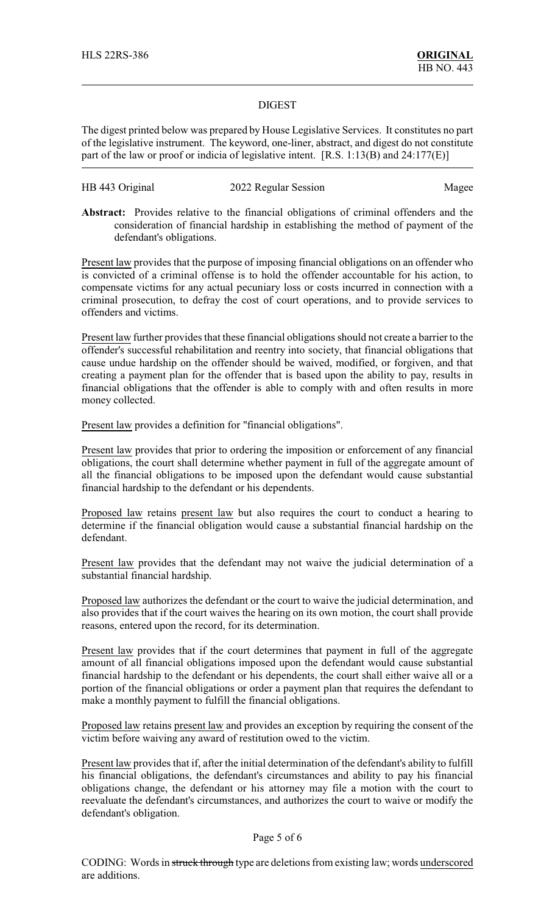#### DIGEST

The digest printed below was prepared by House Legislative Services. It constitutes no part of the legislative instrument. The keyword, one-liner, abstract, and digest do not constitute part of the law or proof or indicia of legislative intent. [R.S. 1:13(B) and 24:177(E)]

# HB 443 Original 2022 Regular Session Magee

**Abstract:** Provides relative to the financial obligations of criminal offenders and the consideration of financial hardship in establishing the method of payment of the defendant's obligations.

Present law provides that the purpose of imposing financial obligations on an offender who is convicted of a criminal offense is to hold the offender accountable for his action, to compensate victims for any actual pecuniary loss or costs incurred in connection with a criminal prosecution, to defray the cost of court operations, and to provide services to offenders and victims.

Present law further provides that these financial obligations should not create a barrier to the offender's successful rehabilitation and reentry into society, that financial obligations that cause undue hardship on the offender should be waived, modified, or forgiven, and that creating a payment plan for the offender that is based upon the ability to pay, results in financial obligations that the offender is able to comply with and often results in more money collected.

Present law provides a definition for "financial obligations".

Present law provides that prior to ordering the imposition or enforcement of any financial obligations, the court shall determine whether payment in full of the aggregate amount of all the financial obligations to be imposed upon the defendant would cause substantial financial hardship to the defendant or his dependents.

Proposed law retains present law but also requires the court to conduct a hearing to determine if the financial obligation would cause a substantial financial hardship on the defendant.

Present law provides that the defendant may not waive the judicial determination of a substantial financial hardship.

Proposed law authorizes the defendant or the court to waive the judicial determination, and also provides that if the court waives the hearing on its own motion, the court shall provide reasons, entered upon the record, for its determination.

Present law provides that if the court determines that payment in full of the aggregate amount of all financial obligations imposed upon the defendant would cause substantial financial hardship to the defendant or his dependents, the court shall either waive all or a portion of the financial obligations or order a payment plan that requires the defendant to make a monthly payment to fulfill the financial obligations.

Proposed law retains present law and provides an exception by requiring the consent of the victim before waiving any award of restitution owed to the victim.

Present law provides that if, after the initial determination of the defendant's ability to fulfill his financial obligations, the defendant's circumstances and ability to pay his financial obligations change, the defendant or his attorney may file a motion with the court to reevaluate the defendant's circumstances, and authorizes the court to waive or modify the defendant's obligation.

### Page 5 of 6